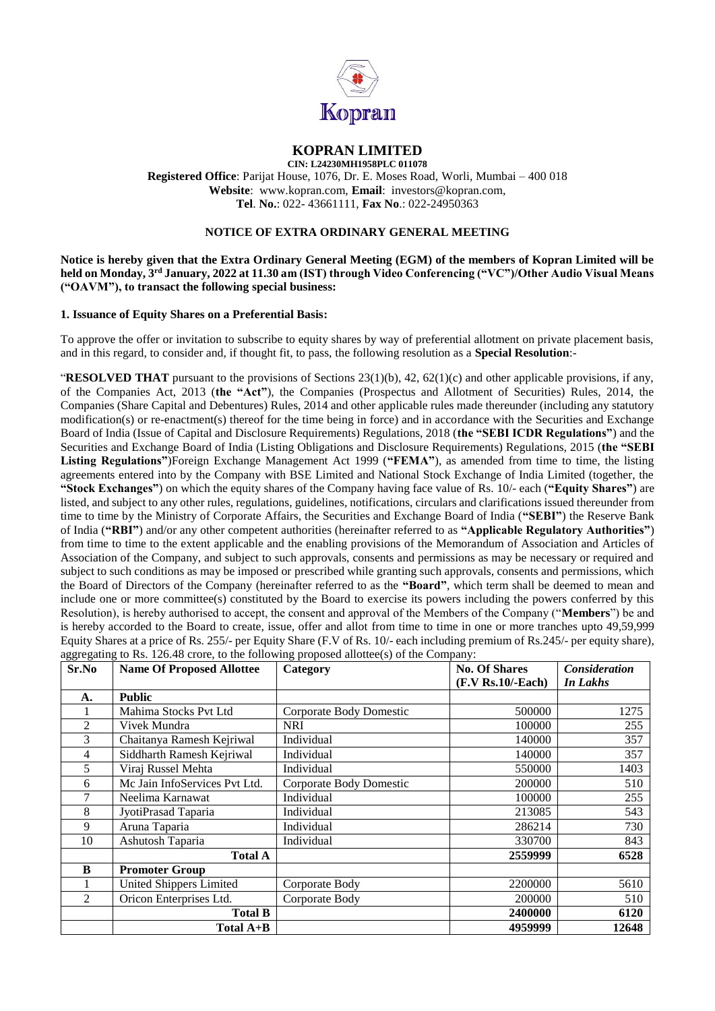

# **KOPRAN LIMITED**

**CIN: L24230MH1958PLC 011078 Registered Office**: Parijat House, 1076, Dr. E. Moses Road, Worli, Mumbai – 400 018 **Website**: www.kopran.com, **Email**: investors@kopran.com, **Tel**. **No.**: 022- 43661111, **Fax No**.: 022-24950363

#### **NOTICE OF EXTRA ORDINARY GENERAL MEETING**

**Notice is hereby given that the Extra Ordinary General Meeting (EGM) of the members of Kopran Limited will be held on Monday, 3 rd January, 2022 at 11.30 am (IST) through Video Conferencing ("VC")/Other Audio Visual Means ("OAVM"), to transact the following special business:**

#### **1. Issuance of Equity Shares on a Preferential Basis:**

To approve the offer or invitation to subscribe to equity shares by way of preferential allotment on private placement basis, and in this regard, to consider and, if thought fit, to pass, the following resolution as a **Special Resolution**:-

"**RESOLVED THAT** pursuant to the provisions of Sections 23(1)(b), 42, 62(1)(c) and other applicable provisions, if any, of the Companies Act, 2013 (**the "Act"**), the Companies (Prospectus and Allotment of Securities) Rules, 2014, the Companies (Share Capital and Debentures) Rules, 2014 and other applicable rules made thereunder (including any statutory modification(s) or re-enactment(s) thereof for the time being in force) and in accordance with the Securities and Exchange Board of India (Issue of Capital and Disclosure Requirements) Regulations, 2018 (**the "SEBI ICDR Regulations"**) and the Securities and Exchange Board of India (Listing Obligations and Disclosure Requirements) Regulations, 2015 (**the "SEBI Listing Regulations"**)Foreign Exchange Management Act 1999 (**"FEMA"**), as amended from time to time, the listing agreements entered into by the Company with BSE Limited and National Stock Exchange of India Limited (together, the **"Stock Exchanges"**) on which the equity shares of the Company having face value of Rs. 10/- each (**"Equity Shares"**) are listed, and subject to any other rules, regulations, guidelines, notifications, circulars and clarifications issued thereunder from time to time by the Ministry of Corporate Affairs, the Securities and Exchange Board of India (**"SEBI"**) the Reserve Bank of India (**"RBI"**) and/or any other competent authorities (hereinafter referred to as **"Applicable Regulatory Authorities"**) from time to time to the extent applicable and the enabling provisions of the Memorandum of Association and Articles of Association of the Company, and subject to such approvals, consents and permissions as may be necessary or required and subject to such conditions as may be imposed or prescribed while granting such approvals, consents and permissions, which the Board of Directors of the Company (hereinafter referred to as the **"Board"**, which term shall be deemed to mean and include one or more committee(s) constituted by the Board to exercise its powers including the powers conferred by this Resolution), is hereby authorised to accept, the consent and approval of the Members of the Company ("**Members**") be and is hereby accorded to the Board to create, issue, offer and allot from time to time in one or more tranches upto 49,59,999 Equity Shares at a price of Rs. 255/- per Equity Share (F.V of Rs. 10/- each including premium of Rs.245/- per equity share), aggregating to Rs. 126.48 crore, to the following proposed allottee(s) of the Company:

| Sr.No          | <b>Name Of Proposed Allottee</b> | Category                | <b>No. Of Shares</b><br>$(F.V Rs.10/$ -Each) | <b>Consideration</b><br>In Lakhs |
|----------------|----------------------------------|-------------------------|----------------------------------------------|----------------------------------|
| А.             | <b>Public</b>                    |                         |                                              |                                  |
|                | Mahima Stocks Pvt Ltd            | Corporate Body Domestic | 500000                                       | 1275                             |
| $\overline{2}$ | Vivek Mundra                     | <b>NRI</b>              | 100000                                       | 255                              |
| 3              | Chaitanya Ramesh Kejriwal        | Individual              | 140000                                       | 357                              |
| 4              | Siddharth Ramesh Kejriwal        | Individual              | 140000                                       | 357                              |
| 5              | Viraj Russel Mehta               | Individual              | 550000                                       | 1403                             |
| 6              | Mc Jain InfoServices Pvt Ltd.    | Corporate Body Domestic | 200000                                       | 510                              |
|                | Neelima Karnawat                 | Individual              | 100000                                       | 255                              |
| 8              | JyotiPrasad Taparia              | Individual              | 213085                                       | 543                              |
| 9              | Aruna Taparia                    | Individual              | 286214                                       | 730                              |
| 10             | Ashutosh Taparia                 | Individual              | 330700                                       | 843                              |
|                | <b>Total A</b>                   |                         | 2559999                                      | 6528                             |
| B              | <b>Promoter Group</b>            |                         |                                              |                                  |
|                | United Shippers Limited          | Corporate Body          | 2200000                                      | 5610                             |
| $\overline{2}$ | Oricon Enterprises Ltd.          | Corporate Body          | 200000                                       | 510                              |
|                | <b>Total B</b>                   |                         | 2400000                                      | 6120                             |
|                | Total A+B                        |                         | 4959999                                      | 12648                            |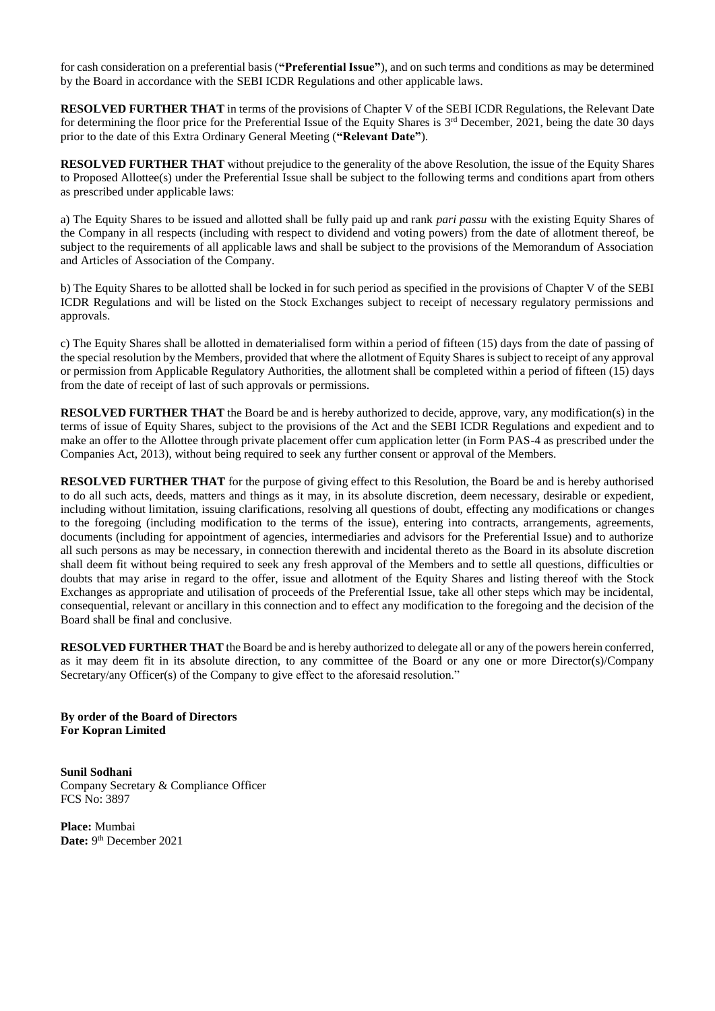for cash consideration on a preferential basis (**"Preferential Issue"**), and on such terms and conditions as may be determined by the Board in accordance with the SEBI ICDR Regulations and other applicable laws.

**RESOLVED FURTHER THAT** in terms of the provisions of Chapter V of the SEBI ICDR Regulations, the Relevant Date for determining the floor price for the Preferential Issue of the Equity Shares is  $3<sup>rd</sup>$  December, 2021, being the date 30 days prior to the date of this Extra Ordinary General Meeting (**"Relevant Date"**).

**RESOLVED FURTHER THAT** without prejudice to the generality of the above Resolution, the issue of the Equity Shares to Proposed Allottee(s) under the Preferential Issue shall be subject to the following terms and conditions apart from others as prescribed under applicable laws:

a) The Equity Shares to be issued and allotted shall be fully paid up and rank *pari passu* with the existing Equity Shares of the Company in all respects (including with respect to dividend and voting powers) from the date of allotment thereof, be subject to the requirements of all applicable laws and shall be subject to the provisions of the Memorandum of Association and Articles of Association of the Company.

b) The Equity Shares to be allotted shall be locked in for such period as specified in the provisions of Chapter V of the SEBI ICDR Regulations and will be listed on the Stock Exchanges subject to receipt of necessary regulatory permissions and approvals.

c) The Equity Shares shall be allotted in dematerialised form within a period of fifteen (15) days from the date of passing of the special resolution by the Members, provided that where the allotment of Equity Shares is subject to receipt of any approval or permission from Applicable Regulatory Authorities, the allotment shall be completed within a period of fifteen (15) days from the date of receipt of last of such approvals or permissions.

**RESOLVED FURTHER THAT** the Board be and is hereby authorized to decide, approve, vary, any modification(s) in the terms of issue of Equity Shares, subject to the provisions of the Act and the SEBI ICDR Regulations and expedient and to make an offer to the Allottee through private placement offer cum application letter (in Form PAS-4 as prescribed under the Companies Act, 2013), without being required to seek any further consent or approval of the Members.

**RESOLVED FURTHER THAT** for the purpose of giving effect to this Resolution, the Board be and is hereby authorised to do all such acts, deeds, matters and things as it may, in its absolute discretion, deem necessary, desirable or expedient, including without limitation, issuing clarifications, resolving all questions of doubt, effecting any modifications or changes to the foregoing (including modification to the terms of the issue), entering into contracts, arrangements, agreements, documents (including for appointment of agencies, intermediaries and advisors for the Preferential Issue) and to authorize all such persons as may be necessary, in connection therewith and incidental thereto as the Board in its absolute discretion shall deem fit without being required to seek any fresh approval of the Members and to settle all questions, difficulties or doubts that may arise in regard to the offer, issue and allotment of the Equity Shares and listing thereof with the Stock Exchanges as appropriate and utilisation of proceeds of the Preferential Issue, take all other steps which may be incidental, consequential, relevant or ancillary in this connection and to effect any modification to the foregoing and the decision of the Board shall be final and conclusive.

**RESOLVED FURTHER THAT** the Board be and is hereby authorized to delegate all or any of the powers herein conferred, as it may deem fit in its absolute direction, to any committee of the Board or any one or more Director(s)/Company Secretary/any Officer(s) of the Company to give effect to the aforesaid resolution."

**By order of the Board of Directors For Kopran Limited**

**Sunil Sodhani** Company Secretary & Compliance Officer FCS No: 3897

**Place:** Mumbai Date: 9<sup>th</sup> December 2021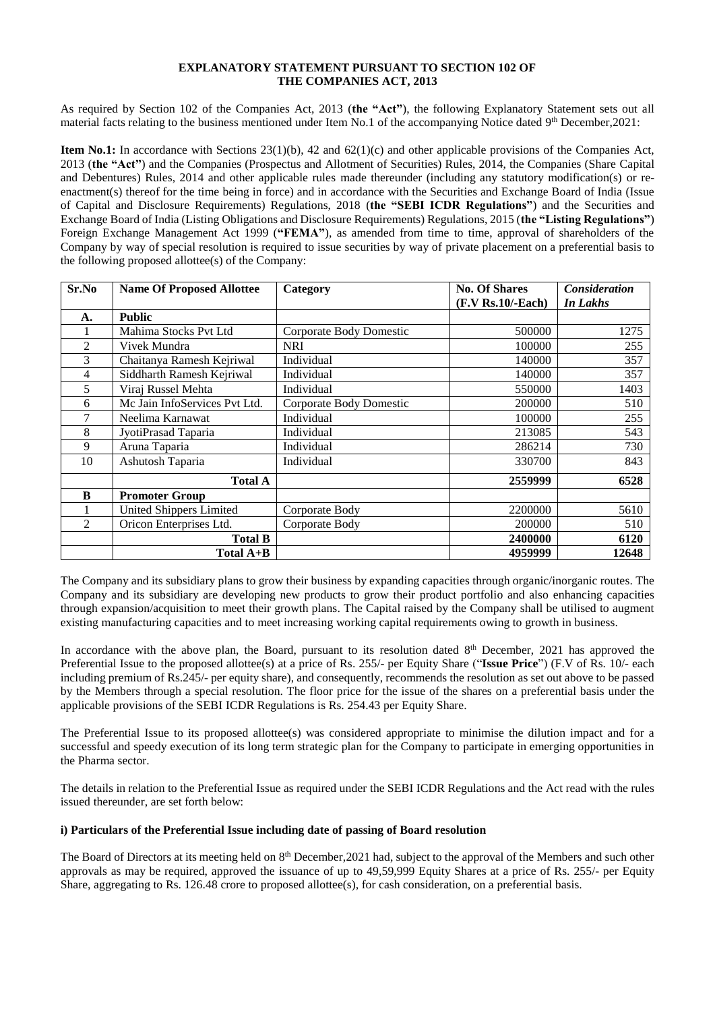#### **EXPLANATORY STATEMENT PURSUANT TO SECTION 102 OF THE COMPANIES ACT, 2013**

As required by Section 102 of the Companies Act, 2013 (**the "Act"**), the following Explanatory Statement sets out all material facts relating to the business mentioned under Item No.1 of the accompanying Notice dated 9<sup>th</sup> December,2021:

**Item No.1:** In accordance with Sections 23(1)(b), 42 and 62(1)(c) and other applicable provisions of the Companies Act, 2013 (**the "Act"**) and the Companies (Prospectus and Allotment of Securities) Rules, 2014, the Companies (Share Capital and Debentures) Rules, 2014 and other applicable rules made thereunder (including any statutory modification(s) or reenactment(s) thereof for the time being in force) and in accordance with the Securities and Exchange Board of India (Issue of Capital and Disclosure Requirements) Regulations, 2018 (**the "SEBI ICDR Regulations"**) and the Securities and Exchange Board of India (Listing Obligations and Disclosure Requirements) Regulations, 2015 (**the "Listing Regulations"**) Foreign Exchange Management Act 1999 (**"FEMA"**), as amended from time to time, approval of shareholders of the Company by way of special resolution is required to issue securities by way of private placement on a preferential basis to the following proposed allottee(s) of the Company:

| Sr.No          | <b>Name Of Proposed Allottee</b> | Category                | <b>No. Of Shares</b><br>$(F.V Rs.10/- Each)$ | <b>Consideration</b><br>In Lakhs |
|----------------|----------------------------------|-------------------------|----------------------------------------------|----------------------------------|
|                |                                  |                         |                                              |                                  |
| A.             | <b>Public</b>                    |                         |                                              |                                  |
| 1              | Mahima Stocks Pvt Ltd            | Corporate Body Domestic | 500000                                       | 1275                             |
| $\overline{2}$ | Vivek Mundra                     | <b>NRI</b>              | 100000                                       | 255                              |
| 3              | Chaitanya Ramesh Kejriwal        | Individual              | 140000                                       | 357                              |
| 4              | Siddharth Ramesh Kejriwal        | Individual              | 140000                                       | 357                              |
| 5              | Viraj Russel Mehta               | Individual              | 550000                                       | 1403                             |
| 6              | Mc Jain InfoServices Pvt Ltd.    | Corporate Body Domestic | 200000                                       | 510                              |
| 7              | Neelima Karnawat                 | Individual              | 100000                                       | 255                              |
| 8              | JyotiPrasad Taparia              | Individual              | 213085                                       | 543                              |
| 9              | Aruna Taparia                    | Individual              | 286214                                       | 730                              |
| 10             | Ashutosh Taparia                 | Individual              | 330700                                       | 843                              |
|                | <b>Total A</b>                   |                         | 2559999                                      | 6528                             |
| B              | <b>Promoter Group</b>            |                         |                                              |                                  |
|                | United Shippers Limited          | Corporate Body          | 2200000                                      | 5610                             |
| $\overline{2}$ | Oricon Enterprises Ltd.          | Corporate Body          | 200000                                       | 510                              |
|                | <b>Total B</b>                   |                         | 2400000                                      | 6120                             |
|                | Total $A+B$                      |                         | 4959999                                      | 12648                            |

The Company and its subsidiary plans to grow their business by expanding capacities through organic/inorganic routes. The Company and its subsidiary are developing new products to grow their product portfolio and also enhancing capacities through expansion/acquisition to meet their growth plans. The Capital raised by the Company shall be utilised to augment existing manufacturing capacities and to meet increasing working capital requirements owing to growth in business.

In accordance with the above plan, the Board, pursuant to its resolution dated 8<sup>th</sup> December, 2021 has approved the Preferential Issue to the proposed allottee(s) at a price of Rs. 255/- per Equity Share ("**Issue Price**") (F.V of Rs. 10/- each including premium of Rs.245/- per equity share), and consequently, recommends the resolution as set out above to be passed by the Members through a special resolution. The floor price for the issue of the shares on a preferential basis under the applicable provisions of the SEBI ICDR Regulations is Rs. 254.43 per Equity Share.

The Preferential Issue to its proposed allottee(s) was considered appropriate to minimise the dilution impact and for a successful and speedy execution of its long term strategic plan for the Company to participate in emerging opportunities in the Pharma sector.

The details in relation to the Preferential Issue as required under the SEBI ICDR Regulations and the Act read with the rules issued thereunder, are set forth below:

#### **i) Particulars of the Preferential Issue including date of passing of Board resolution**

The Board of Directors at its meeting held on 8<sup>th</sup> December, 2021 had, subject to the approval of the Members and such other approvals as may be required, approved the issuance of up to 49,59,999 Equity Shares at a price of Rs. 255/- per Equity Share, aggregating to Rs. 126.48 crore to proposed allottee(s), for cash consideration, on a preferential basis.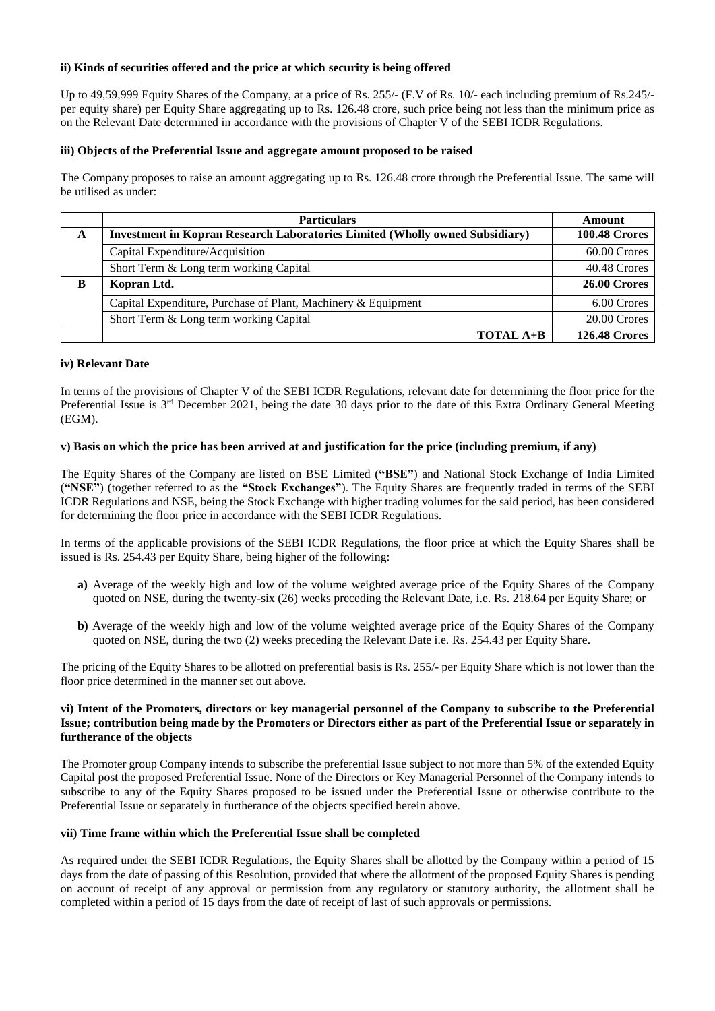## **ii) Kinds of securities offered and the price at which security is being offered**

Up to 49,59,999 Equity Shares of the Company, at a price of Rs. 255/- (F.V of Rs. 10/- each including premium of Rs.245/ per equity share) per Equity Share aggregating up to Rs. 126.48 crore, such price being not less than the minimum price as on the Relevant Date determined in accordance with the provisions of Chapter V of the SEBI ICDR Regulations.

## **iii) Objects of the Preferential Issue and aggregate amount proposed to be raised**

The Company proposes to raise an amount aggregating up to Rs. 126.48 crore through the Preferential Issue. The same will be utilised as under:

|   | <b>Particulars</b>                                                                  | Amount               |
|---|-------------------------------------------------------------------------------------|----------------------|
| A | <b>Investment in Kopran Research Laboratories Limited (Wholly owned Subsidiary)</b> | <b>100.48 Crores</b> |
|   | Capital Expenditure/Acquisition                                                     | 60.00 Crores         |
|   | Short Term & Long term working Capital                                              | 40.48 Crores         |
| B | Kopran Ltd.                                                                         | 26.00 Crores         |
|   | Capital Expenditure, Purchase of Plant, Machinery & Equipment                       | 6.00 Crores          |
|   | Short Term & Long term working Capital                                              | 20.00 Crores         |
|   | <b>TOTAL <math>A+B</math></b>                                                       | <b>126.48 Crores</b> |

## **iv) Relevant Date**

In terms of the provisions of Chapter V of the SEBI ICDR Regulations, relevant date for determining the floor price for the Preferential Issue is  $3<sup>rd</sup>$  December 2021, being the date 30 days prior to the date of this Extra Ordinary General Meeting (EGM).

## **v) Basis on which the price has been arrived at and justification for the price (including premium, if any)**

The Equity Shares of the Company are listed on BSE Limited (**"BSE"**) and National Stock Exchange of India Limited (**"NSE"**) (together referred to as the **"Stock Exchanges"**). The Equity Shares are frequently traded in terms of the SEBI ICDR Regulations and NSE, being the Stock Exchange with higher trading volumes for the said period, has been considered for determining the floor price in accordance with the SEBI ICDR Regulations.

In terms of the applicable provisions of the SEBI ICDR Regulations, the floor price at which the Equity Shares shall be issued is Rs. 254.43 per Equity Share, being higher of the following:

- **a)** Average of the weekly high and low of the volume weighted average price of the Equity Shares of the Company quoted on NSE, during the twenty-six (26) weeks preceding the Relevant Date, i.e. Rs. 218.64 per Equity Share; or
- **b)** Average of the weekly high and low of the volume weighted average price of the Equity Shares of the Company quoted on NSE, during the two (2) weeks preceding the Relevant Date i.e. Rs. 254.43 per Equity Share.

The pricing of the Equity Shares to be allotted on preferential basis is Rs. 255/- per Equity Share which is not lower than the floor price determined in the manner set out above.

#### **vi) Intent of the Promoters, directors or key managerial personnel of the Company to subscribe to the Preferential Issue; contribution being made by the Promoters or Directors either as part of the Preferential Issue or separately in furtherance of the objects**

The Promoter group Company intends to subscribe the preferential Issue subject to not more than 5% of the extended Equity Capital post the proposed Preferential Issue. None of the Directors or Key Managerial Personnel of the Company intends to subscribe to any of the Equity Shares proposed to be issued under the Preferential Issue or otherwise contribute to the Preferential Issue or separately in furtherance of the objects specified herein above.

#### **vii) Time frame within which the Preferential Issue shall be completed**

As required under the SEBI ICDR Regulations, the Equity Shares shall be allotted by the Company within a period of 15 days from the date of passing of this Resolution, provided that where the allotment of the proposed Equity Shares is pending on account of receipt of any approval or permission from any regulatory or statutory authority, the allotment shall be completed within a period of 15 days from the date of receipt of last of such approvals or permissions.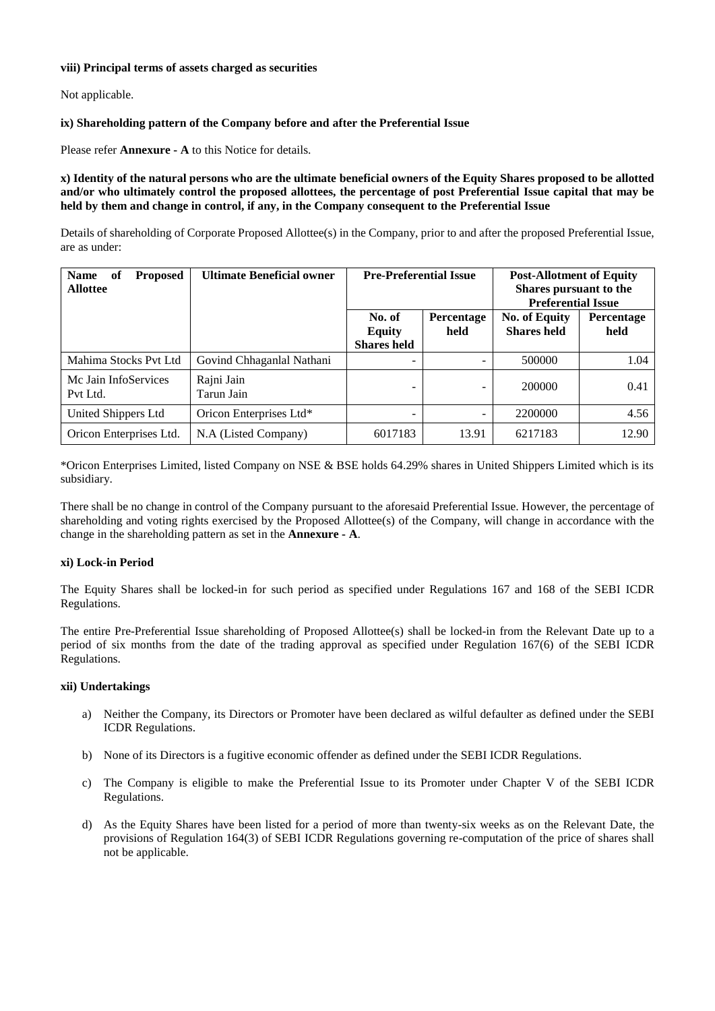## **viii) Principal terms of assets charged as securities**

Not applicable.

# **ix) Shareholding pattern of the Company before and after the Preferential Issue**

Please refer **Annexure - A** to this Notice for details.

**x) Identity of the natural persons who are the ultimate beneficial owners of the Equity Shares proposed to be allotted and/or who ultimately control the proposed allottees, the percentage of post Preferential Issue capital that may be held by them and change in control, if any, in the Company consequent to the Preferential Issue**

Details of shareholding of Corporate Proposed Allottee(s) in the Company, prior to and after the proposed Preferential Issue, are as under:

| <b>Name</b><br>of<br><b>Proposed</b><br><b>Allottee</b> | <b>Ultimate Beneficial owner</b> | <b>Pre-Preferential Issue</b>                 |                    | <b>Post-Allotment of Equity</b><br>Shares pursuant to the<br><b>Preferential Issue</b> |                    |
|---------------------------------------------------------|----------------------------------|-----------------------------------------------|--------------------|----------------------------------------------------------------------------------------|--------------------|
|                                                         |                                  | No. of<br><b>Equity</b><br><b>Shares held</b> | Percentage<br>held | <b>No. of Equity</b><br><b>Shares held</b>                                             | Percentage<br>held |
| Mahima Stocks Pvt Ltd                                   | Govind Chhaganlal Nathani        | -                                             |                    | 500000                                                                                 | 1.04               |
| Mc Jain InfoServices<br>Pvt Ltd.                        | Rajni Jain<br>Tarun Jain         | -                                             |                    | 200000                                                                                 | 0.41               |
| United Shippers Ltd                                     | Oricon Enterprises Ltd*          | $\overline{\phantom{0}}$                      | -                  | 2200000                                                                                | 4.56               |
| Oricon Enterprises Ltd.                                 | N.A (Listed Company)             | 6017183                                       | 13.91              | 6217183                                                                                | 12.90              |

\*Oricon Enterprises Limited, listed Company on NSE & BSE holds 64.29% shares in United Shippers Limited which is its subsidiary.

There shall be no change in control of the Company pursuant to the aforesaid Preferential Issue. However, the percentage of shareholding and voting rights exercised by the Proposed Allottee(s) of the Company, will change in accordance with the change in the shareholding pattern as set in the **Annexure - A**.

#### **xi) Lock-in Period**

The Equity Shares shall be locked-in for such period as specified under Regulations 167 and 168 of the SEBI ICDR Regulations.

The entire Pre-Preferential Issue shareholding of Proposed Allottee(s) shall be locked-in from the Relevant Date up to a period of six months from the date of the trading approval as specified under Regulation 167(6) of the SEBI ICDR Regulations.

#### **xii) Undertakings**

- a) Neither the Company, its Directors or Promoter have been declared as wilful defaulter as defined under the SEBI ICDR Regulations.
- b) None of its Directors is a fugitive economic offender as defined under the SEBI ICDR Regulations.
- c) The Company is eligible to make the Preferential Issue to its Promoter under Chapter V of the SEBI ICDR Regulations.
- d) As the Equity Shares have been listed for a period of more than twenty-six weeks as on the Relevant Date, the provisions of Regulation 164(3) of SEBI ICDR Regulations governing re-computation of the price of shares shall not be applicable.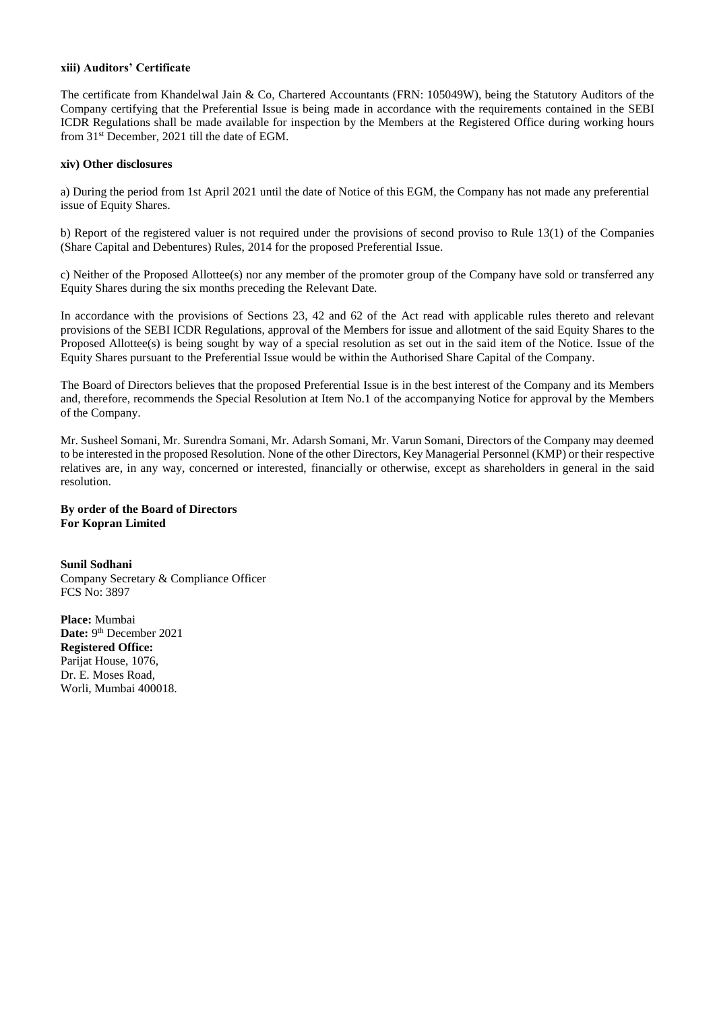## **xiii) Auditors' Certificate**

The certificate from Khandelwal Jain & Co, Chartered Accountants (FRN: 105049W), being the Statutory Auditors of the Company certifying that the Preferential Issue is being made in accordance with the requirements contained in the SEBI ICDR Regulations shall be made available for inspection by the Members at the Registered Office during working hours from 31st December, 2021 till the date of EGM.

#### **xiv) Other disclosures**

a) During the period from 1st April 2021 until the date of Notice of this EGM, the Company has not made any preferential issue of Equity Shares.

b) Report of the registered valuer is not required under the provisions of second proviso to Rule 13(1) of the Companies (Share Capital and Debentures) Rules, 2014 for the proposed Preferential Issue.

c) Neither of the Proposed Allottee(s) nor any member of the promoter group of the Company have sold or transferred any Equity Shares during the six months preceding the Relevant Date.

In accordance with the provisions of Sections 23, 42 and 62 of the Act read with applicable rules thereto and relevant provisions of the SEBI ICDR Regulations, approval of the Members for issue and allotment of the said Equity Shares to the Proposed Allottee(s) is being sought by way of a special resolution as set out in the said item of the Notice. Issue of the Equity Shares pursuant to the Preferential Issue would be within the Authorised Share Capital of the Company.

The Board of Directors believes that the proposed Preferential Issue is in the best interest of the Company and its Members and, therefore, recommends the Special Resolution at Item No.1 of the accompanying Notice for approval by the Members of the Company.

Mr. Susheel Somani, Mr. Surendra Somani, Mr. Adarsh Somani, Mr. Varun Somani, Directors of the Company may deemed to be interested in the proposed Resolution. None of the other Directors, Key Managerial Personnel (KMP) or their respective relatives are, in any way, concerned or interested, financially or otherwise, except as shareholders in general in the said resolution.

#### **By order of the Board of Directors For Kopran Limited**

**Sunil Sodhani** Company Secretary & Compliance Officer FCS No: 3897

**Place:** Mumbai Date: 9<sup>th</sup> December 2021 **Registered Office:** Parijat House, 1076, Dr. E. Moses Road, Worli, Mumbai 400018.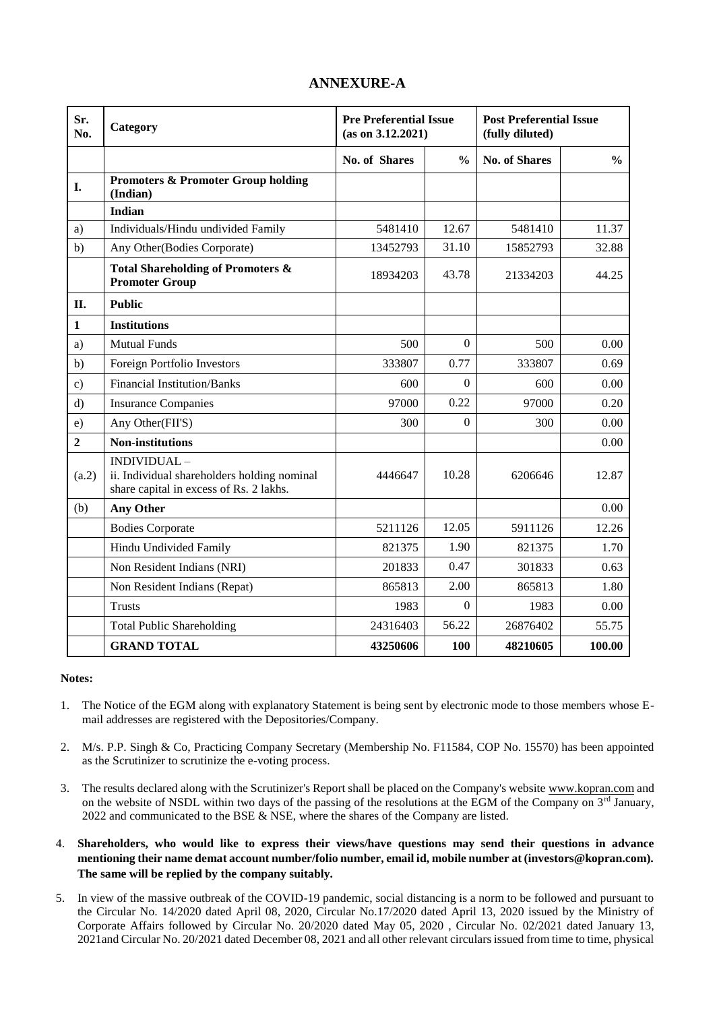| Sr.<br>No.     | <b>Pre Preferential Issue</b><br>Category<br>(as on 3.12.2021)                                        |               |                | <b>Post Preferential Issue</b><br>(fully diluted) |               |
|----------------|-------------------------------------------------------------------------------------------------------|---------------|----------------|---------------------------------------------------|---------------|
|                |                                                                                                       | No. of Shares | $\frac{0}{0}$  | <b>No. of Shares</b>                              | $\frac{0}{0}$ |
| I.             | <b>Promoters &amp; Promoter Group holding</b><br>(Indian)                                             |               |                |                                                   |               |
|                | <b>Indian</b>                                                                                         |               |                |                                                   |               |
| a)             | Individuals/Hindu undivided Family                                                                    | 5481410       | 12.67          | 5481410                                           | 11.37         |
| b)             | Any Other(Bodies Corporate)                                                                           | 13452793      | 31.10          | 15852793                                          | 32.88         |
|                | Total Shareholding of Promoters &<br><b>Promoter Group</b>                                            | 18934203      | 43.78          | 21334203                                          | 44.25         |
| II.            | <b>Public</b>                                                                                         |               |                |                                                   |               |
| $\mathbf{1}$   | <b>Institutions</b>                                                                                   |               |                |                                                   |               |
| a)             | <b>Mutual Funds</b>                                                                                   | 500           | $\overline{0}$ | 500                                               | 0.00          |
| b)             | Foreign Portfolio Investors                                                                           | 333807        | 0.77           | 333807                                            | 0.69          |
| $\mathbf{c})$  | <b>Financial Institution/Banks</b>                                                                    | 600           | $\overline{0}$ | 600                                               | 0.00          |
| $\rm d$        | <b>Insurance Companies</b>                                                                            | 97000         | 0.22           | 97000                                             | 0.20          |
| e)             | Any Other(FII'S)                                                                                      | 300           | $\Omega$       | 300                                               | 0.00          |
| $\overline{2}$ | <b>Non-institutions</b>                                                                               |               |                |                                                   | 0.00          |
| (a.2)          | INDIVIDUAL-<br>ii. Individual shareholders holding nominal<br>share capital in excess of Rs. 2 lakhs. | 4446647       | 10.28          | 6206646                                           | 12.87         |
| (b)            | <b>Any Other</b>                                                                                      |               |                |                                                   | 0.00          |
|                | <b>Bodies Corporate</b>                                                                               | 5211126       | 12.05          | 5911126                                           | 12.26         |
|                | Hindu Undivided Family                                                                                | 821375        | 1.90           | 821375                                            | 1.70          |
|                | Non Resident Indians (NRI)                                                                            | 201833        | 0.47           | 301833                                            | 0.63          |
|                | Non Resident Indians (Repat)                                                                          | 865813        | 2.00           | 865813                                            | 1.80          |
|                | <b>Trusts</b>                                                                                         | 1983          | $\Omega$       | 1983                                              | 0.00          |
|                | <b>Total Public Shareholding</b>                                                                      | 24316403      | 56.22          | 26876402                                          | 55.75         |
|                | <b>GRAND TOTAL</b>                                                                                    | 43250606      | 100            | 48210605                                          | 100.00        |

# **ANNEXURE-A**

## **Notes:**

- 1. The Notice of the EGM along with explanatory Statement is being sent by electronic mode to those members whose Email addresses are registered with the Depositories/Company.
- 2. M/s. P.P. Singh & Co, Practicing Company Secretary (Membership No. F11584, COP No. 15570) has been appointed as the Scrutinizer to scrutinize the e-voting process.
- 3. The results declared along with the Scrutinizer's Report shall be placed on the Company's websit[e www.kopran.com](http://www.kopran.com/) and on the website of NSDL within two days of the passing of the resolutions at the EGM of the Company on  $3<sup>rd</sup>$  January, 2022 and communicated to the BSE & NSE, where the shares of the Company are listed.
- 4. **Shareholders, who would like to express their views/have questions may send their questions in advance mentioning their name demat account number/folio number, email id, mobile number at (investors@kopran.com). The same will be replied by the company suitably.**
- 5. In view of the massive outbreak of the COVID-19 pandemic, social distancing is a norm to be followed and pursuant to the Circular No. 14/2020 dated April 08, 2020, Circular No.17/2020 dated April 13, 2020 issued by the Ministry of Corporate Affairs followed by Circular No. 20/2020 dated May 05, 2020 , Circular No. 02/2021 dated January 13, 2021and Circular No. 20/2021 dated December 08, 2021 and all other relevant circulars issued from time to time, physical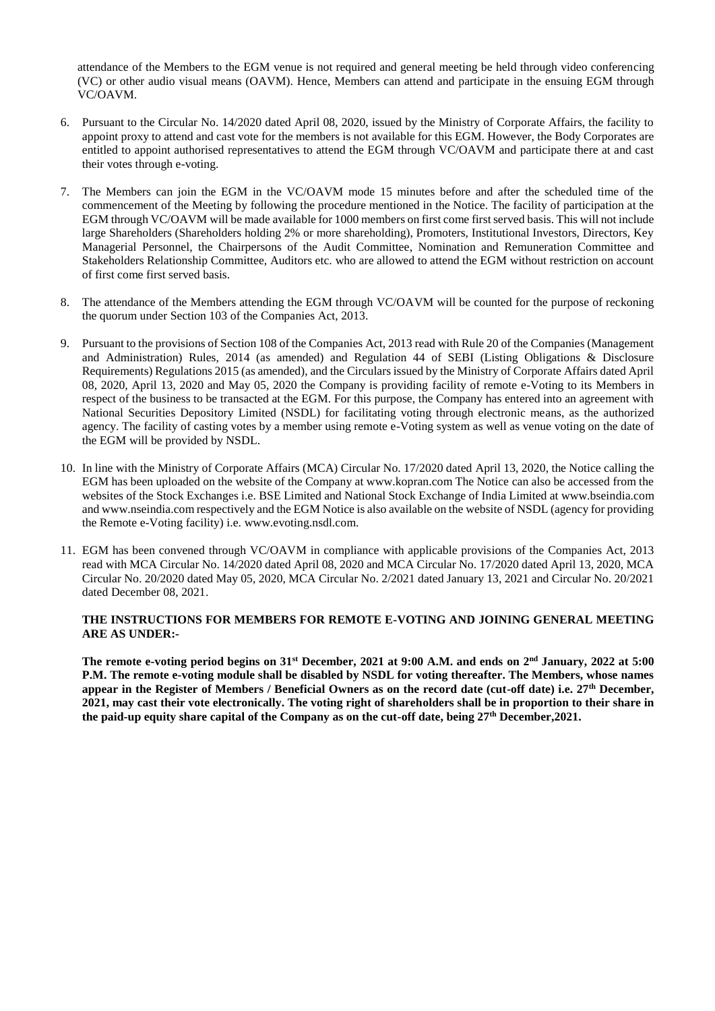attendance of the Members to the EGM venue is not required and general meeting be held through video conferencing (VC) or other audio visual means (OAVM). Hence, Members can attend and participate in the ensuing EGM through VC/OAVM.

- 6. Pursuant to the Circular No. 14/2020 dated April 08, 2020, issued by the Ministry of Corporate Affairs, the facility to appoint proxy to attend and cast vote for the members is not available for this EGM. However, the Body Corporates are entitled to appoint authorised representatives to attend the EGM through VC/OAVM and participate there at and cast their votes through e-voting.
- 7. The Members can join the EGM in the VC/OAVM mode 15 minutes before and after the scheduled time of the commencement of the Meeting by following the procedure mentioned in the Notice. The facility of participation at the EGM through VC/OAVM will be made available for 1000 members on first come first served basis. This will not include large Shareholders (Shareholders holding 2% or more shareholding), Promoters, Institutional Investors, Directors, Key Managerial Personnel, the Chairpersons of the Audit Committee, Nomination and Remuneration Committee and Stakeholders Relationship Committee, Auditors etc. who are allowed to attend the EGM without restriction on account of first come first served basis.
- 8. The attendance of the Members attending the EGM through VC/OAVM will be counted for the purpose of reckoning the quorum under Section 103 of the Companies Act, 2013.
- 9. Pursuant to the provisions of Section 108 of the Companies Act, 2013 read with Rule 20 of the Companies (Management and Administration) Rules, 2014 (as amended) and Regulation 44 of SEBI (Listing Obligations & Disclosure Requirements) Regulations 2015 (as amended), and the Circulars issued by the Ministry of Corporate Affairs dated April 08, 2020, April 13, 2020 and May 05, 2020 the Company is providing facility of remote e-Voting to its Members in respect of the business to be transacted at the EGM. For this purpose, the Company has entered into an agreement with National Securities Depository Limited (NSDL) for facilitating voting through electronic means, as the authorized agency. The facility of casting votes by a member using remote e-Voting system as well as venue voting on the date of the EGM will be provided by NSDL.
- 10. In line with the Ministry of Corporate Affairs (MCA) Circular No. 17/2020 dated April 13, 2020, the Notice calling the EGM has been uploaded on the website of the Company at www.kopran.com The Notice can also be accessed from the websites of the Stock Exchanges i.e. BSE Limited and National Stock Exchange of India Limited at www.bseindia.com and www.nseindia.com respectively and the EGM Notice is also available on the website of NSDL (agency for providing the Remote e-Voting facility) i.e. www.evoting.nsdl.com.
- 11. EGM has been convened through VC/OAVM in compliance with applicable provisions of the Companies Act, 2013 read with MCA Circular No. 14/2020 dated April 08, 2020 and MCA Circular No. 17/2020 dated April 13, 2020, MCA Circular No. 20/2020 dated May 05, 2020, MCA Circular No. 2/2021 dated January 13, 2021 and Circular No. 20/2021 dated December 08, 2021.

#### **THE INSTRUCTIONS FOR MEMBERS FOR REMOTE E-VOTING AND JOINING GENERAL MEETING ARE AS UNDER:-**

**The remote e-voting period begins on 31st December, 2021 at 9:00 A.M. and ends on 2nd January, 2022 at 5:00 P.M. The remote e-voting module shall be disabled by NSDL for voting thereafter. The Members, whose names appear in the Register of Members / Beneficial Owners as on the record date (cut-off date) i.e. 27th December, 2021, may cast their vote electronically. The voting right of shareholders shall be in proportion to their share in the paid-up equity share capital of the Company as on the cut-off date, being 27th December,2021.**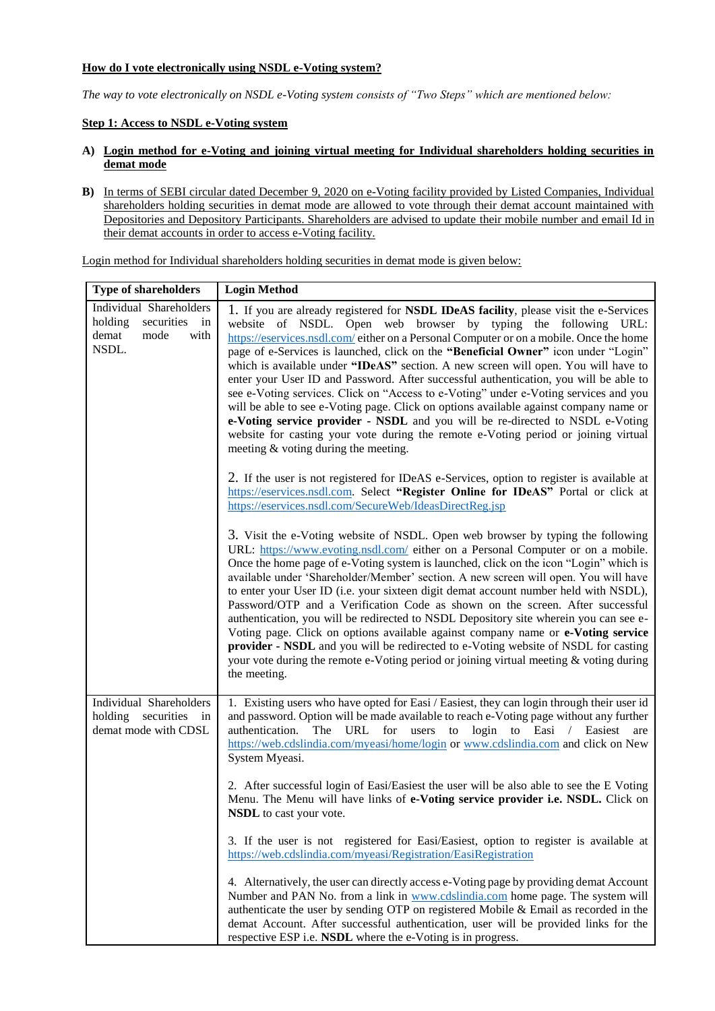# **How do I vote electronically using NSDL e-Voting system?**

*The way to vote electronically on NSDL e-Voting system consists of "Two Steps" which are mentioned below:*

## **Step 1: Access to NSDL e-Voting system**

## **A) Login method for e-Voting and joining virtual meeting for Individual shareholders holding securities in demat mode**

**B)** In terms of SEBI circular dated December 9, 2020 on e-Voting facility provided by Listed Companies, Individual shareholders holding securities in demat mode are allowed to vote through their demat account maintained with Depositories and Depository Participants. Shareholders are advised to update their mobile number and email Id in their demat accounts in order to access e-Voting facility.

Login method for Individual shareholders holding securities in demat mode is given below: **Type of shareholders Login Method**

| Type of shareholders                                                                     | Login memoa                                                                                                                                                                                                                                                                                                                                                                                                                                                                                                                                                                                                                                                                                                                                                                                                                                                                                                                |
|------------------------------------------------------------------------------------------|----------------------------------------------------------------------------------------------------------------------------------------------------------------------------------------------------------------------------------------------------------------------------------------------------------------------------------------------------------------------------------------------------------------------------------------------------------------------------------------------------------------------------------------------------------------------------------------------------------------------------------------------------------------------------------------------------------------------------------------------------------------------------------------------------------------------------------------------------------------------------------------------------------------------------|
| Individual Shareholders<br>holding<br>securities<br>in<br>demat<br>mode<br>with<br>NSDL. | 1. If you are already registered for NSDL IDeAS facility, please visit the e-Services<br>website of NSDL. Open web browser by typing the following URL:<br>https://eservices.nsdl.com/ either on a Personal Computer or on a mobile. Once the home<br>page of e-Services is launched, click on the "Beneficial Owner" icon under "Login"<br>which is available under "IDeAS" section. A new screen will open. You will have to<br>enter your User ID and Password. After successful authentication, you will be able to<br>see e-Voting services. Click on "Access to e-Voting" under e-Voting services and you<br>will be able to see e-Voting page. Click on options available against company name or<br>e-Voting service provider - NSDL and you will be re-directed to NSDL e-Voting<br>website for casting your vote during the remote e-Voting period or joining virtual<br>meeting $\&$ voting during the meeting. |
|                                                                                          | 2. If the user is not registered for IDeAS e-Services, option to register is available at<br>https://eservices.nsdl.com. Select "Register Online for IDeAS" Portal or click at<br>https://eservices.nsdl.com/SecureWeb/IdeasDirectReg.jsp                                                                                                                                                                                                                                                                                                                                                                                                                                                                                                                                                                                                                                                                                  |
|                                                                                          | 3. Visit the e-Voting website of NSDL. Open web browser by typing the following<br>URL: https://www.evoting.nsdl.com/ either on a Personal Computer or on a mobile.<br>Once the home page of e-Voting system is launched, click on the icon "Login" which is<br>available under 'Shareholder/Member' section. A new screen will open. You will have<br>to enter your User ID (i.e. your sixteen digit demat account number held with NSDL),<br>Password/OTP and a Verification Code as shown on the screen. After successful<br>authentication, you will be redirected to NSDL Depository site wherein you can see e-<br>Voting page. Click on options available against company name or e-Voting service<br>provider - NSDL and you will be redirected to e-Voting website of NSDL for casting<br>your vote during the remote e-Voting period or joining virtual meeting & voting during<br>the meeting.                  |
| Individual Shareholders<br>securities in<br>holding<br>demat mode with CDSL              | 1. Existing users who have opted for Easi / Easiest, they can login through their user id<br>and password. Option will be made available to reach e-Voting page without any further<br>The URL for users to login to Easi / Easiest are<br>authentication.<br>https://web.cdslindia.com/myeasi/home/login or www.cdslindia.com and click on New<br>System Myeasi.                                                                                                                                                                                                                                                                                                                                                                                                                                                                                                                                                          |
|                                                                                          | 2. After successful login of Easi/Easiest the user will be also able to see the E Voting<br>Menu. The Menu will have links of e-Voting service provider i.e. NSDL. Click on<br><b>NSDL</b> to cast your vote.                                                                                                                                                                                                                                                                                                                                                                                                                                                                                                                                                                                                                                                                                                              |
|                                                                                          | 3. If the user is not registered for Easi/Easiest, option to register is available at<br>https://web.cdslindia.com/myeasi/Registration/EasiRegistration                                                                                                                                                                                                                                                                                                                                                                                                                                                                                                                                                                                                                                                                                                                                                                    |
|                                                                                          | 4. Alternatively, the user can directly access e-Voting page by providing demat Account<br>Number and PAN No. from a link in www.cdslindia.com home page. The system will<br>authenticate the user by sending OTP on registered Mobile & Email as recorded in the<br>demat Account. After successful authentication, user will be provided links for the<br>respective ESP i.e. NSDL where the e-Voting is in progress.                                                                                                                                                                                                                                                                                                                                                                                                                                                                                                    |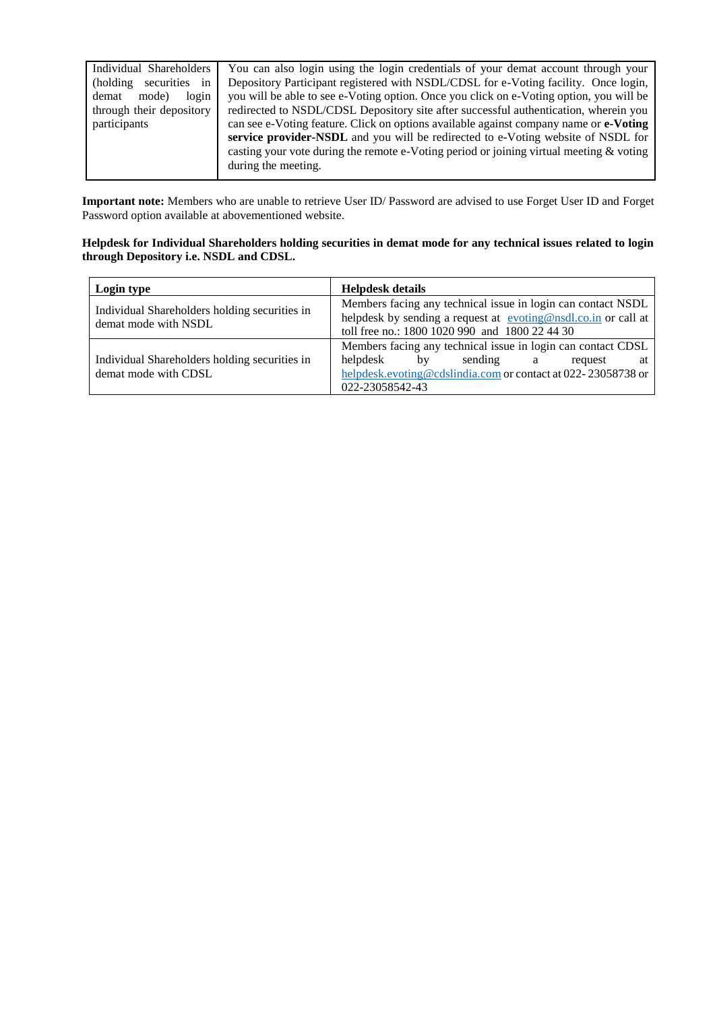| Individual Shareholders    | You can also login using the login credentials of your demat account through your                                                                                                                                                                                                           |
|----------------------------|---------------------------------------------------------------------------------------------------------------------------------------------------------------------------------------------------------------------------------------------------------------------------------------------|
| securities in<br>(holding) | Depository Participant registered with NSDL/CDSL for e-Voting facility. Once login,                                                                                                                                                                                                         |
| login<br>demat<br>mode)    | you will be able to see e-Voting option. Once you click on e-Voting option, you will be                                                                                                                                                                                                     |
| through their depository   | redirected to NSDL/CDSL Depository site after successful authentication, wherein you                                                                                                                                                                                                        |
| participants               | can see e-Voting feature. Click on options available against company name or e-Voting<br>service provider-NSDL and you will be redirected to e-Voting website of NSDL for<br>casting your vote during the remote e-Voting period or joining virtual meeting & voting<br>during the meeting. |

**Important note:** Members who are unable to retrieve User ID/ Password are advised to use Forget User ID and Forget Password option available at abovementioned website.

## **Helpdesk for Individual Shareholders holding securities in demat mode for any technical issues related to login through Depository i.e. NSDL and CDSL.**

| Login type                                                            | <b>Helpdesk details</b>                                                                                                                                                                              |  |  |
|-----------------------------------------------------------------------|------------------------------------------------------------------------------------------------------------------------------------------------------------------------------------------------------|--|--|
| Individual Shareholders holding securities in<br>demat mode with NSDL | Members facing any technical issue in login can contact NSDL<br>helpdesk by sending a request at evoting@nsdl.co.in or call at<br>toll free no.: 1800 1020 990 and 1800 22 44 30                     |  |  |
| Individual Shareholders holding securities in<br>demat mode with CDSL | Members facing any technical issue in login can contact CDSL<br>helpdesk<br>sending<br>hv<br>a a<br>request<br>at<br>helpdesk.evoting@cdslindia.com or contact at 022-23058738 or<br>022-23058542-43 |  |  |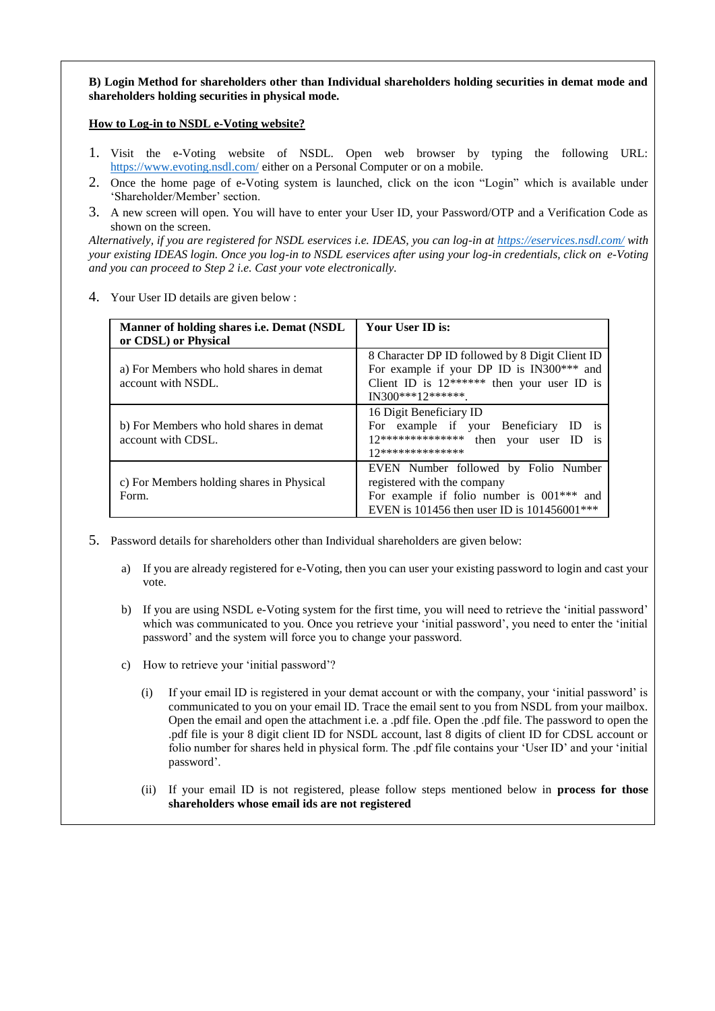## **B) Login Method for shareholders other than Individual shareholders holding securities in demat mode and shareholders holding securities in physical mode.**

## **How to Log-in to NSDL e-Voting website?**

- 1. Visit the e-Voting website of NSDL. Open web browser by typing the following URL: <https://www.evoting.nsdl.com/> either on a Personal Computer or on a mobile.
- 2. Once the home page of e-Voting system is launched, click on the icon "Login" which is available under 'Shareholder/Member' section.
- 3. A new screen will open. You will have to enter your User ID, your Password/OTP and a Verification Code as shown on the screen.

*Alternatively, if you are registered for NSDL eservices i.e. IDEAS, you can log-in at<https://eservices.nsdl.com/> with your existing IDEAS login. Once you log-in to NSDL eservices after using your log-in credentials, click on e-Voting and you can proceed to Step 2 i.e. Cast your vote electronically.*

4. Your User ID details are given below :

| Manner of holding shares i.e. Demat (NSDL<br>or CDSL) or Physical | Your User ID is:                                                                                                                                                    |
|-------------------------------------------------------------------|---------------------------------------------------------------------------------------------------------------------------------------------------------------------|
| a) For Members who hold shares in demat<br>account with NSDL.     | 8 Character DP ID followed by 8 Digit Client ID<br>For example if your DP ID is IN300*** and<br>Client ID is $12******$ then your user ID is<br>IN300***12*******.  |
| b) For Members who hold shares in demat<br>account with CDSL.     | 16 Digit Beneficiary ID<br>For example if your Beneficiary<br><i>is</i><br>12**************<br>then your user ID<br><sup>is</sup><br>17**************               |
| c) For Members holding shares in Physical<br>Form.                | EVEN Number followed by Folio Number<br>registered with the company<br>For example if folio number is $001***$ and<br>EVEN is 101456 then user ID is $101456001***$ |

- 5. Password details for shareholders other than Individual shareholders are given below:
	- a) If you are already registered for e-Voting, then you can user your existing password to login and cast your vote.
	- b) If you are using NSDL e-Voting system for the first time, you will need to retrieve the 'initial password' which was communicated to you. Once you retrieve your 'initial password', you need to enter the 'initial password' and the system will force you to change your password.
	- c) How to retrieve your 'initial password'?
		- (i) If your email ID is registered in your demat account or with the company, your 'initial password' is communicated to you on your email ID. Trace the email sent to you from NSDL from your mailbox. Open the email and open the attachment i.e. a .pdf file. Open the .pdf file. The password to open the .pdf file is your 8 digit client ID for NSDL account, last 8 digits of client ID for CDSL account or folio number for shares held in physical form. The .pdf file contains your 'User ID' and your 'initial password'.
		- (ii) If your email ID is not registered, please follow steps mentioned below in **process for those shareholders whose email ids are not registered**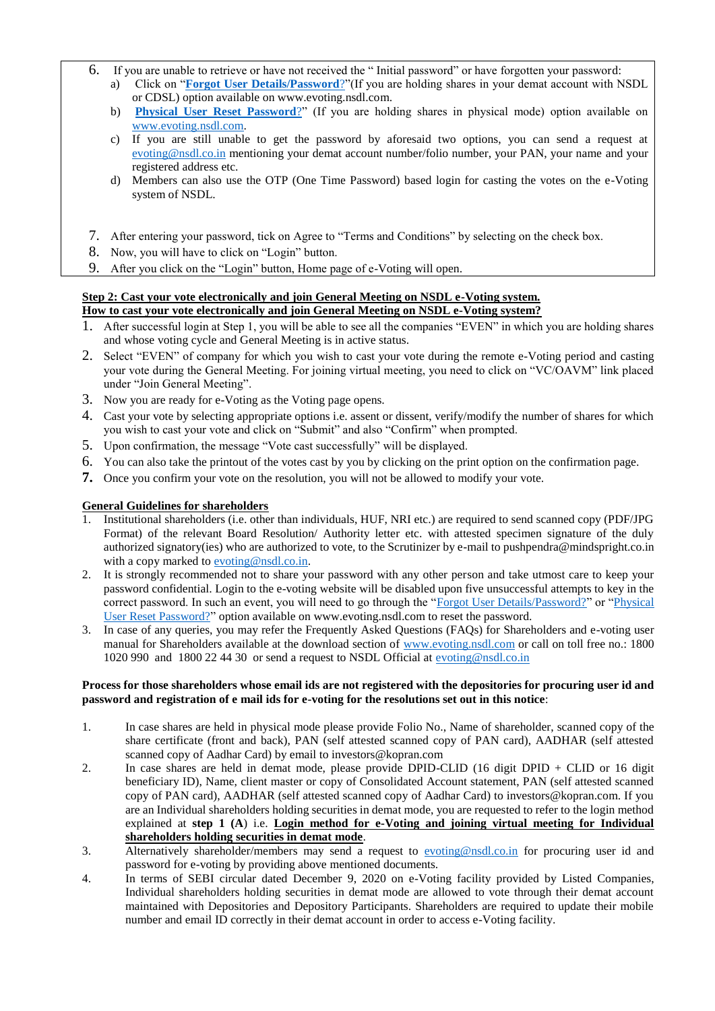- 6. If you are unable to retrieve or have not received the " Initial password" or have forgotten your password:
	- a) Click on "**[Forgot User Details/Password](https://www.evoting.nsdl.com/eVotingWeb/commonhtmls/NewUser.jsp)**?"(If you are holding shares in your demat account with NSDL or CDSL) option available on www.evoting.nsdl.com.
	- b) **[Physical User Reset Password](https://www.evoting.nsdl.com/eVotingWeb/commonhtmls/PhysicalUser.jsp)**?" (If you are holding shares in physical mode) option available on [www.evoting.nsdl.com.](http://www.evoting.nsdl.com/)
	- c) If you are still unable to get the password by aforesaid two options, you can send a request at [evoting@nsdl.co.in](mailto:evoting@nsdl.co.in) mentioning your demat account number/folio number, your PAN, your name and your registered address etc.
	- d) Members can also use the OTP (One Time Password) based login for casting the votes on the e-Voting system of NSDL.
- 7. After entering your password, tick on Agree to "Terms and Conditions" by selecting on the check box.
- 8. Now, you will have to click on "Login" button.
- 9. After you click on the "Login" button, Home page of e-Voting will open.

#### **Step 2: Cast your vote electronically and join General Meeting on NSDL e-Voting system. How to cast your vote electronically and join General Meeting on NSDL e-Voting system?**

- 1. After successful login at Step 1, you will be able to see all the companies "EVEN" in which you are holding shares and whose voting cycle and General Meeting is in active status.
- 2. Select "EVEN" of company for which you wish to cast your vote during the remote e-Voting period and casting your vote during the General Meeting. For joining virtual meeting, you need to click on "VC/OAVM" link placed under "Join General Meeting".
- 3. Now you are ready for e-Voting as the Voting page opens.
- 4. Cast your vote by selecting appropriate options i.e. assent or dissent, verify/modify the number of shares for which you wish to cast your vote and click on "Submit" and also "Confirm" when prompted.
- 5. Upon confirmation, the message "Vote cast successfully" will be displayed.
- 6. You can also take the printout of the votes cast by you by clicking on the print option on the confirmation page.
- **7.** Once you confirm your vote on the resolution, you will not be allowed to modify your vote.

# **General Guidelines for shareholders**

- 1. Institutional shareholders (i.e. other than individuals, HUF, NRI etc.) are required to send scanned copy (PDF/JPG Format) of the relevant Board Resolution/ Authority letter etc. with attested specimen signature of the duly authorized signatory(ies) who are authorized to vote, to the Scrutinizer by e-mail to pushpendra@mindspright.co.in with a copy marked to [evoting@nsdl.co.in.](mailto:evoting@nsdl.co.in)
- 2. It is strongly recommended not to share your password with any other person and take utmost care to keep your password confidential. Login to the e-voting website will be disabled upon five unsuccessful attempts to key in the correct password. In such an event, you will need to go through the ["Forgot User Details/Password?"](https://www.evoting.nsdl.com/eVotingWeb/commonhtmls/NewUser.jsp) or ["Physical](https://www.evoting.nsdl.com/eVotingWeb/commonhtmls/PhysicalUser.jsp)  [User Reset Password?"](https://www.evoting.nsdl.com/eVotingWeb/commonhtmls/PhysicalUser.jsp) option available on www.evoting.nsdl.com to reset the password.
- 3. In case of any queries, you may refer the Frequently Asked Questions (FAQs) for Shareholders and e-voting user manual for Shareholders available at the download section of [www.evoting.nsdl.com](http://www.evoting.nsdl.com/) or call on toll free no.: 1800 1020 990 and 1800 22 44 30 or send a request to NSDL Official at [evoting@nsdl.co.in](mailto:evoting@nsdl.co.in)

#### **Process for those shareholders whose email ids are not registered with the depositories for procuring user id and password and registration of e mail ids for e-voting for the resolutions set out in this notice**:

- 1. In case shares are held in physical mode please provide Folio No., Name of shareholder, scanned copy of the share certificate (front and back), PAN (self attested scanned copy of PAN card), AADHAR (self attested scanned copy of Aadhar Card) by email to investors@kopran.com
- 2. In case shares are held in demat mode, please provide DPID-CLID (16 digit DPID + CLID or 16 digit beneficiary ID), Name, client master or copy of Consolidated Account statement, PAN (self attested scanned copy of PAN card), AADHAR (self attested scanned copy of Aadhar Card) to investors@kopran.com. If you are an Individual shareholders holding securities in demat mode, you are requested to refer to the login method explained at **step 1 (A**) i.e. **Login method for e-Voting and joining virtual meeting for Individual shareholders holding securities in demat mode**.
- 3. Alternatively shareholder/members may send a request to [evoting@nsdl.co.in](mailto:evoting@nsdl.co.in) for procuring user id and password for e-voting by providing above mentioned documents.
- 4. In terms of SEBI circular dated December 9, 2020 on e-Voting facility provided by Listed Companies, Individual shareholders holding securities in demat mode are allowed to vote through their demat account maintained with Depositories and Depository Participants. Shareholders are required to update their mobile number and email ID correctly in their demat account in order to access e-Voting facility.